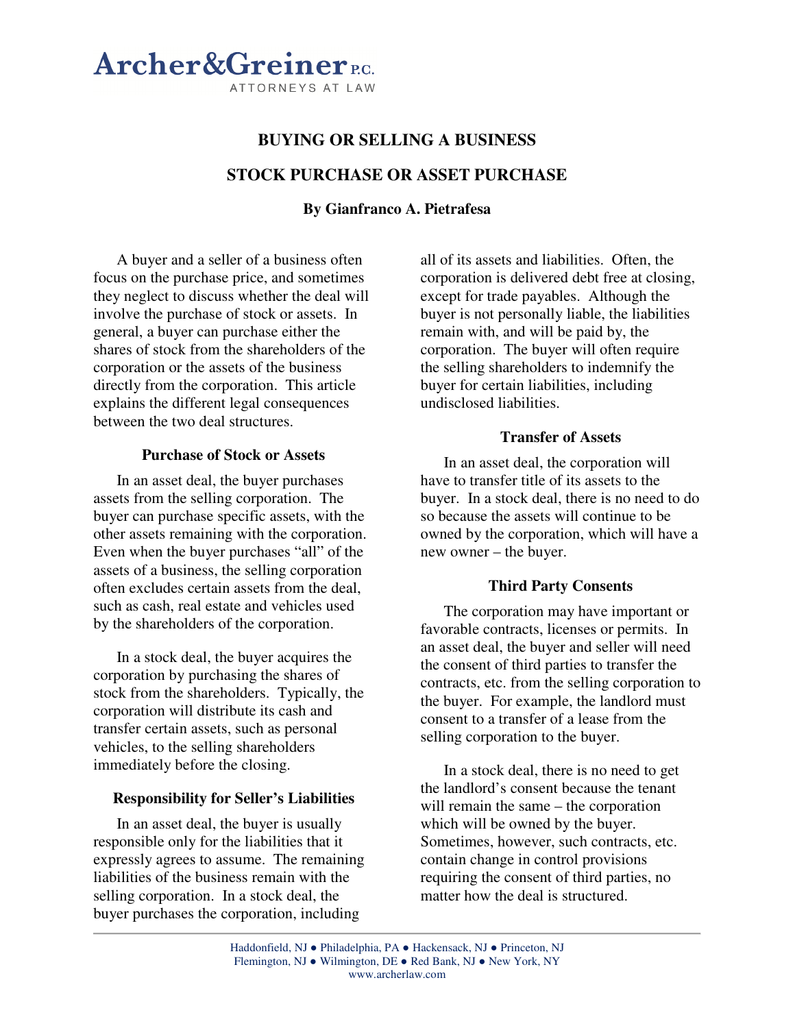

# **BUYING OR SELLING A BUSINESS STOCK PURCHASE OR ASSET PURCHASE**

# **By Gianfranco A. Pietrafesa**

A buyer and a seller of a business often focus on the purchase price, and sometimes they neglect to discuss whether the deal will involve the purchase of stock or assets. In general, a buyer can purchase either the shares of stock from the shareholders of the corporation or the assets of the business directly from the corporation. This article explains the different legal consequences between the two deal structures.

#### **Purchase of Stock or Assets**

In an asset deal, the buyer purchases assets from the selling corporation. The buyer can purchase specific assets, with the other assets remaining with the corporation. Even when the buyer purchases "all" of the assets of a business, the selling corporation often excludes certain assets from the deal, such as cash, real estate and vehicles used by the shareholders of the corporation.

In a stock deal, the buyer acquires the corporation by purchasing the shares of stock from the shareholders. Typically, the corporation will distribute its cash and transfer certain assets, such as personal vehicles, to the selling shareholders immediately before the closing.

#### **Responsibility for Seller's Liabilities**

In an asset deal, the buyer is usually responsible only for the liabilities that it expressly agrees to assume. The remaining liabilities of the business remain with the selling corporation. In a stock deal, the buyer purchases the corporation, including

all of its assets and liabilities. Often, the corporation is delivered debt free at closing, except for trade payables. Although the buyer is not personally liable, the liabilities remain with, and will be paid by, the corporation. The buyer will often require the selling shareholders to indemnify the buyer for certain liabilities, including undisclosed liabilities.

### **Transfer of Assets**

In an asset deal, the corporation will have to transfer title of its assets to the buyer. In a stock deal, there is no need to do so because the assets will continue to be owned by the corporation, which will have a new owner – the buyer.

## **Third Party Consents**

The corporation may have important or favorable contracts, licenses or permits. In an asset deal, the buyer and seller will need the consent of third parties to transfer the contracts, etc. from the selling corporation to the buyer. For example, the landlord must consent to a transfer of a lease from the selling corporation to the buyer.

In a stock deal, there is no need to get the landlord's consent because the tenant will remain the same – the corporation which will be owned by the buyer. Sometimes, however, such contracts, etc. contain change in control provisions requiring the consent of third parties, no matter how the deal is structured.